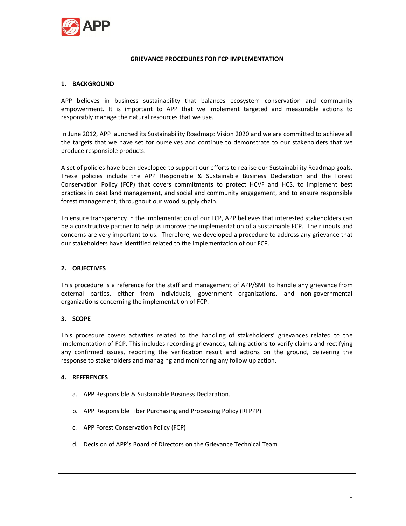

#### **GRIEVANCE PROCEDURES FOR FCP IMPLEMENTATION**

### **1. BACKGROUND**

APP believes in business sustainability that balances ecosystem conservation and community empowerment. It is important to APP that we implement targeted and measurable actions to responsibly manage the natural resources that we use.

In June 2012, APP launched its Sustainability Roadmap: Vision 2020 and we are committed to achieve all the targets that we have set for ourselves and continue to demonstrate to our stakeholders that we produce responsible products.

A set of policies have been developed to support our efforts to realise our Sustainability Roadmap goals. These policies include the APP Responsible & Sustainable Business Declaration and the Forest Conservation Policy (FCP) that covers commitments to protect HCVF and HCS, to implement best practices in peat land management, and social and community engagement, and to ensure responsible forest management, throughout our wood supply chain.

To ensure transparency in the implementation of our FCP, APP believes that interested stakeholders can be a constructive partner to help us improve the implementation of a sustainable FCP. Their inputs and concerns are very important to us. Therefore, we developed a procedure to address any grievance that our stakeholders have identified related to the implementation of our FCP.

# **2. OBJECTIVES**

This procedure is a reference for the staff and management of APP/SMF to handle any grievance from external parties, either from individuals, government organizations, and non-governmental organizations concerning the implementation of FCP.

#### **3. SCOPE**

This procedure covers activities related to the handling of stakeholders' grievances related to the implementation of FCP. This includes recording grievances, taking actions to verify claims and rectifying any confirmed issues, reporting the verification result and actions on the ground, delivering the response to stakeholders and managing and monitoring any follow up action.

#### **4. REFERENCES**

- a. APP Responsible & Sustainable Business Declaration.
- b. APP Responsible Fiber Purchasing and Processing Policy (RFPPP)
- c. APP Forest Conservation Policy (FCP)
- d. Decision of APP's Board of Directors on the Grievance Technical Team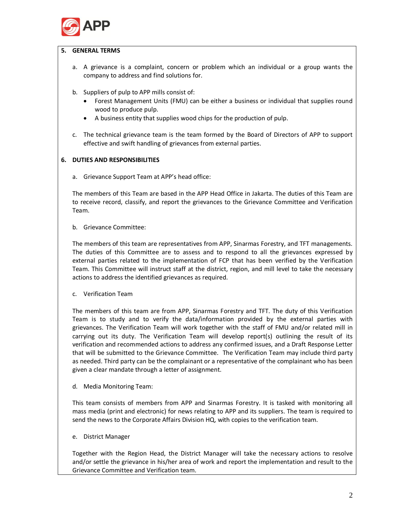

### **5. GENERAL TERMS**

- a. A grievance is a complaint, concern or problem which an individual or a group wants the company to address and find solutions for.
- b. Suppliers of pulp to APP mills consist of:
	- · Forest Management Units (FMU) can be either a business or individual that supplies round wood to produce pulp.
	- · A business entity that supplies wood chips for the production of pulp.
- c. The technical grievance team is the team formed by the Board of Directors of APP to support effective and swift handling of grievances from external parties.

# **6. DUTIES AND RESPONSIBILITIES**

a. Grievance Support Team at APP's head office:

The members of this Team are based in the APP Head Office in Jakarta. The duties of this Team are to receive record, classify, and report the grievances to the Grievance Committee and Verification Team.

b. Grievance Committee:

The members of this team are representatives from APP, Sinarmas Forestry, and TFT managements. The duties of this Committee are to assess and to respond to all the grievances expressed by external parties related to the implementation of FCP that has been verified by the Verification Team. This Committee will instruct staff at the district, region, and mill level to take the necessary actions to address the identified grievances as required.

c. Verification Team

The members of this team are from APP, Sinarmas Forestry and TFT. The duty of this Verification Team is to study and to verify the data/information provided by the external parties with grievances. The Verification Team will work together with the staff of FMU and/or related mill in carrying out its duty. The Verification Team will develop report(s) outlining the result of its verification and recommended actions to address any confirmed issues, and a Draft Response Letter that will be submitted to the Grievance Committee. The Verification Team may include third party as needed. Third party can be the complainant or a representative of the complainant who has been given a clear mandate through a letter of assignment.

d. Media Monitoring Team:

This team consists of members from APP and Sinarmas Forestry. It is tasked with monitoring all mass media (print and electronic) for news relating to APP and its suppliers. The team is required to send the news to the Corporate Affairs Division HQ, with copies to the verification team.

e. District Manager

Together with the Region Head, the District Manager will take the necessary actions to resolve and/or settle the grievance in his/her area of work and report the implementation and result to the Grievance Committee and Verification team.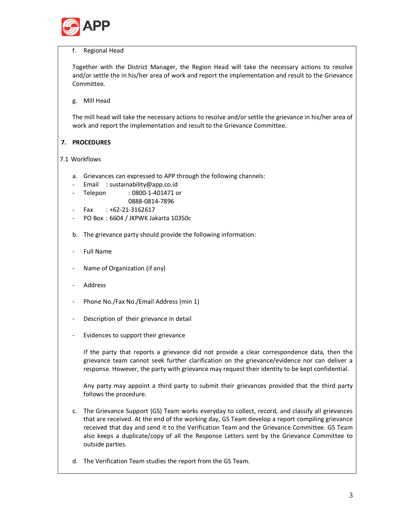

### f. Regional Head

Together with the District Manager, the Region Head will take the necessary actions to resolve and/or settle the in his/her area of work and report the implementation and result to the Grievance Committee.

g. Mill Head

The mill head will take the necessary actions to resolve and/or settle the grievance in his/her area of work and report the implementation and result to the Grievance Committee.

# **7. PROCEDURES**

# 7.1 Workflows

- a. Grievances can expressed to APP through the following channels:
- Email : sustainability@app.co.id
- Telepon : 0800-1-401471 or 0888-0814-7896
- $Fax : +62-21-3162617$
- PO Box : 6604 / JKPWK Jakarta 10350c
- b. The grievance party should provide the following information:
- Full Name
- Name of Organization (if any)
- **Address**
- Phone No./Fax No./Email Address (min 1)
- Description of their grievance in detail
- Evidences to support their grievance

If the party that reports a grievance did not provide a clear correspondence data, then the grievance team cannot seek further clarification on the grievance/evidence nor can deliver a response. However, the party with grievance may request their identity to be kept confidential.

Any party may appoint a third party to submit their grievances provided that the third party follows the procedure.

- c. The Grievance Support (GS) Team works everyday to collect, record, and classify all grievances that are received. At the end of the working day, GS Team develop a report compiling grievance received that day and send it to the Verification Team and the Grievance Committee. GS Team also keeps a duplicate/copy of all the Response Letters sent by the Grievance Committee to outside parties.
- d. The Verification Team studies the report from the GS Team.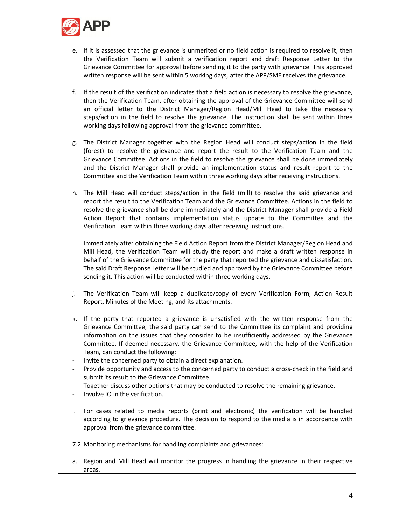

- e. If it is assessed that the grievance is unmerited or no field action is required to resolve it, then the Verification Team will submit a verification report and draft Response Letter to the Grievance Committee for approval before sending it to the party with grievance. This approved written response will be sent within 5 working days, after the APP/SMF receives the grievance.
- f. If the result of the verification indicates that a field action is necessary to resolve the grievance, then the Verification Team, after obtaining the approval of the Grievance Committee will send an official letter to the District Manager/Region Head/Mill Head to take the necessary steps/action in the field to resolve the grievance. The instruction shall be sent within three working days following approval from the grievance committee.
- g. The District Manager together with the Region Head will conduct steps/action in the field (forest) to resolve the grievance and report the result to the Verification Team and the Grievance Committee. Actions in the field to resolve the grievance shall be done immediately and the District Manager shall provide an implementation status and result report to the Committee and the Verification Team within three working days after receiving instructions.
- h. The Mill Head will conduct steps/action in the field (mill) to resolve the said grievance and report the result to the Verification Team and the Grievance Committee. Actions in the field to resolve the grievance shall be done immediately and the District Manager shall provide a Field Action Report that contains implementation status update to the Committee and the Verification Team within three working days after receiving instructions.
- i. Immediately after obtaining the Field Action Report from the District Manager/Region Head and Mill Head, the Verification Team will study the report and make a draft written response in behalf of the Grievance Committee for the party that reported the grievance and dissatisfaction. The said Draft Response Letter will be studied and approved by the Grievance Committee before sending it. This action will be conducted within three working days.
- j. The Verification Team will keep a duplicate/copy of every Verification Form, Action Result Report, Minutes of the Meeting, and its attachments.
- k. If the party that reported a grievance is unsatisfied with the written response from the Grievance Committee, the said party can send to the Committee its complaint and providing information on the issues that they consider to be insufficiently addressed by the Grievance Committee. If deemed necessary, the Grievance Committee, with the help of the Verification Team, can conduct the following:
- Invite the concerned party to obtain a direct explanation.
- Provide opportunity and access to the concerned party to conduct a cross-check in the field and submit its result to the Grievance Committee.
- Together discuss other options that may be conducted to resolve the remaining grievance.
- Involve IO in the verification.
- l. For cases related to media reports (print and electronic) the verification will be handled according to grievance procedure. The decision to respond to the media is in accordance with approval from the grievance committee.
- 7.2 Monitoring mechanisms for handling complaints and grievances:
- a. Region and Mill Head will monitor the progress in handling the grievance in their respective areas.